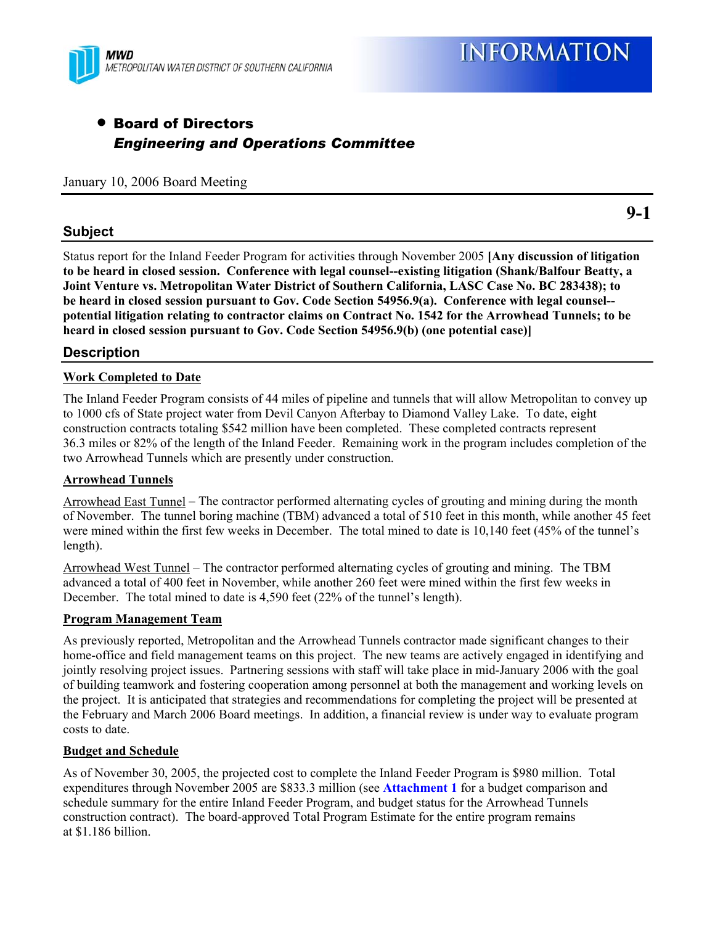

# • Board of Directors *Engineering and Operations Committee*

January 10, 2006 Board Meeting

# **Subject**

Status report for the Inland Feeder Program for activities through November 2005 **[Any discussion of litigation to be heard in closed session. Conference with legal counsel--existing litigation (Shank/Balfour Beatty, a Joint Venture vs. Metropolitan Water District of Southern California, LASC Case No. BC 283438); to be heard in closed session pursuant to Gov. Code Section 54956.9(a). Conference with legal counsel- potential litigation relating to contractor claims on Contract No. 1542 for the Arrowhead Tunnels; to be heard in closed session pursuant to Gov. Code Section 54956.9(b) (one potential case)]**

## **Description**

### **Work Completed to Date**

The Inland Feeder Program consists of 44 miles of pipeline and tunnels that will allow Metropolitan to convey up to 1000 cfs of State project water from Devil Canyon Afterbay to Diamond Valley Lake. To date, eight construction contracts totaling \$542 million have been completed. These completed contracts represent 36.3 miles or 82% of the length of the Inland Feeder. Remaining work in the program includes completion of the two Arrowhead Tunnels which are presently under construction.

#### **Arrowhead Tunnels**

Arrowhead East Tunnel – The contractor performed alternating cycles of grouting and mining during the month of November. The tunnel boring machine (TBM) advanced a total of 510 feet in this month, while another 45 feet were mined within the first few weeks in December. The total mined to date is 10,140 feet (45% of the tunnel's length).

Arrowhead West Tunnel – The contractor performed alternating cycles of grouting and mining. The TBM advanced a total of 400 feet in November, while another 260 feet were mined within the first few weeks in December. The total mined to date is 4,590 feet (22% of the tunnel's length).

#### **Program Management Team**

As previously reported, Metropolitan and the Arrowhead Tunnels contractor made significant changes to their home-office and field management teams on this project. The new teams are actively engaged in identifying and jointly resolving project issues. Partnering sessions with staff will take place in mid-January 2006 with the goal of building teamwork and fostering cooperation among personnel at both the management and working levels on the project. It is anticipated that strategies and recommendations for completing the project will be presented at the February and March 2006 Board meetings. In addition, a financial review is under way to evaluate program costs to date.

#### **Budget and Schedule**

As of November 30, 2005, the projected cost to complete the Inland Feeder Program is \$980 million. Total expenditures through November 2005 are \$833.3 million (see **Attachment 1** for a budget comparison and schedule summary for the entire Inland Feeder Program, and budget status for the Arrowhead Tunnels construction contract). The board-approved Total Program Estimate for the entire program remains at \$1.186 billion.

**9-1**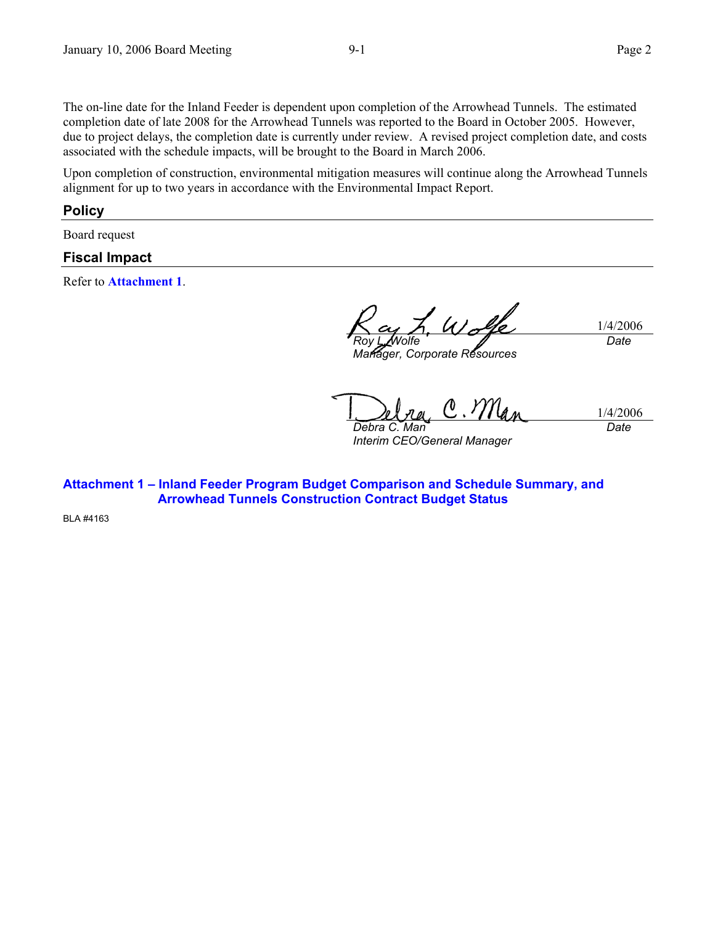The on-line date for the Inland Feeder is dependent upon completion of the Arrowhead Tunnels. The estimated completion date of late 2008 for the Arrowhead Tunnels was reported to the Board in October 2005. However, due to project delays, the completion date is currently under review. A revised project completion date, and costs associated with the schedule impacts, will be brought to the Board in March 2006.

Upon completion of construction, environmental mitigation measures will continue along the Arrowhead Tunnels alignment for up to two years in accordance with the Environmental Impact Report.

#### **Policy**

Board request

### **Fiscal Impact**

Refer to **Attachment 1**.

1/4/2006 *Roy L. Wolfe Date* 

*Manager, Corporate Resources* 

1/4/2006 *Debra C. Man* 

*Interim CEO/General Manager* 

*Date* 

**Attachment 1 – Inland Feeder Program Budget Comparison and Schedule Summary, and Arrowhead Tunnels Construction Contract Budget Status** 

BLA #4163